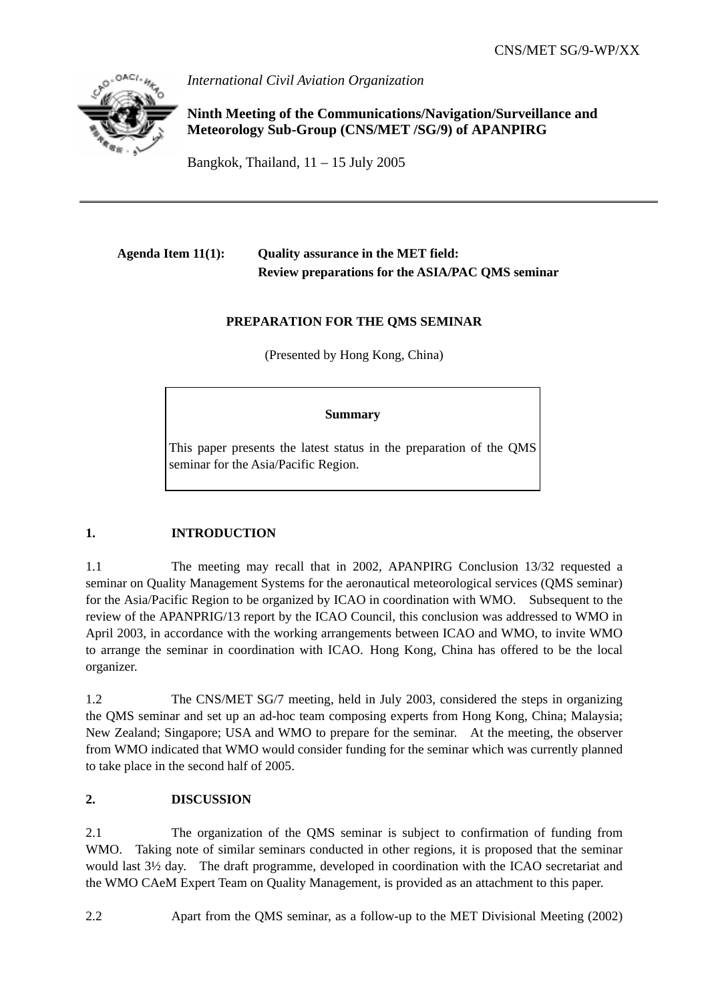

*International Civil Aviation Organization* 

**Ninth Meeting of the Communications/Navigation/Surveillance and Meteorology Sub-Group (CNS/MET /SG/9) of APANPIRG** 

Bangkok, Thailand,  $11 - 15$  July 2005

## **Agenda Item 11(1): Quality assurance in the MET field: Review preparations for the ASIA/PAC QMS seminar**

## **PREPARATION FOR THE QMS SEMINAR**

(Presented by Hong Kong, China)

## **Summary**

This paper presents the latest status in the preparation of the QMS seminar for the Asia/Pacific Region.

## **1. INTRODUCTION**

1.1 The meeting may recall that in 2002, APANPIRG Conclusion 13/32 requested a seminar on Quality Management Systems for the aeronautical meteorological services (QMS seminar) for the Asia/Pacific Region to be organized by ICAO in coordination with WMO. Subsequent to the review of the APANPRIG/13 report by the ICAO Council, this conclusion was addressed to WMO in April 2003, in accordance with the working arrangements between ICAO and WMO, to invite WMO to arrange the seminar in coordination with ICAO. Hong Kong, China has offered to be the local organizer.

1.2 The CNS/MET SG/7 meeting, held in July 2003, considered the steps in organizing the QMS seminar and set up an ad-hoc team composing experts from Hong Kong, China; Malaysia; New Zealand; Singapore; USA and WMO to prepare for the seminar. At the meeting, the observer from WMO indicated that WMO would consider funding for the seminar which was currently planned to take place in the second half of 2005.

## **2. DISCUSSION**

2.1 The organization of the QMS seminar is subject to confirmation of funding from WMO. Taking note of similar seminars conducted in other regions, it is proposed that the seminar would last 3½ day. The draft programme, developed in coordination with the ICAO secretariat and the WMO CAeM Expert Team on Quality Management, is provided as an attachment to this paper.

2.2 Apart from the QMS seminar, as a follow-up to the MET Divisional Meeting (2002)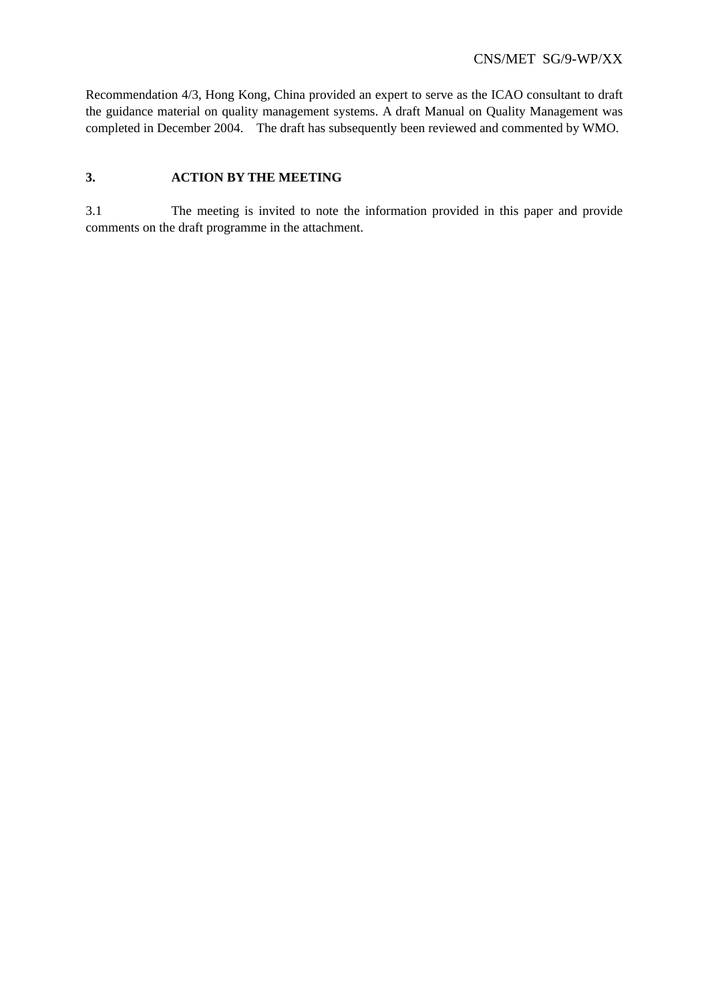Recommendation 4/3, Hong Kong, China provided an expert to serve as the ICAO consultant to draft the guidance material on quality management systems. A draft Manual on Quality Management was completed in December 2004. The draft has subsequently been reviewed and commented by WMO.

#### **3. ACTION BY THE MEETING**

3.1 The meeting is invited to note the information provided in this paper and provide comments on the draft programme in the attachment.